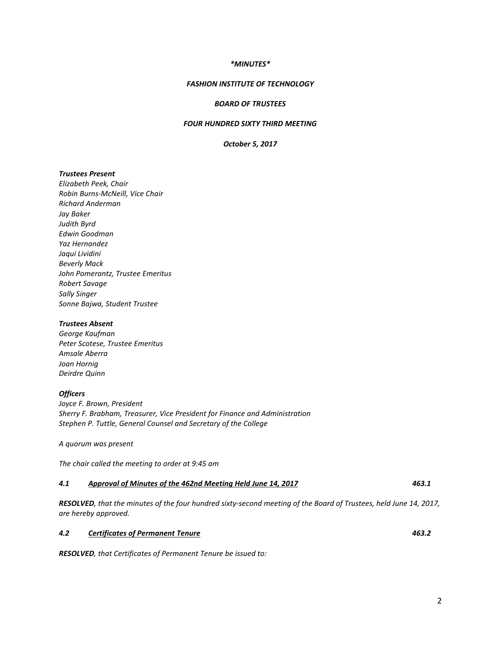## *\*MINUTES\**

# *FASHION INSTITUTE OF TECHNOLOGY*

## *BOARD OF TRUSTEES*

# *FOUR HUNDRED SIXTY THIRD MEETING*

# *October 5, 2017*

## *Trustees Present*

*Elizabeth Peek, Chair Robin Burns-McNeill, Vice Chair Richard Anderman Jay Baker Judith Byrd Edwin Goodman Yaz Hernandez Jaqui Lividini Beverly Mack John Pomerantz, Trustee Emeritus Robert Savage Sally Singer Sonne Bajwa, Student Trustee*

#### *Trustees Absent*

*George Kaufman Peter Scotese, Trustee Emeritus Amsale Aberra Joan Hornig Deirdre Quinn*

### *Officers*

*Joyce F. Brown, President Sherry F. Brabham, Treasurer, Vice President for Finance and Administration Stephen P. Tuttle, General Counsel and Secretary of the College*

*A quorum was present*

*The chair called the meeting to order at 9:45 am*

### *4.1 Approval of Minutes of the 462nd Meeting Held June 14, 2017 463.1*

*RESOLVED, that the minutes of the four hundred sixty-second meeting of the Board of Trustees, held June 14, 2017, are hereby approved.*

#### *4.2 Certificates of Permanent Tenure 463.2*

*RESOLVED, that Certificates of Permanent Tenure be issued to:*